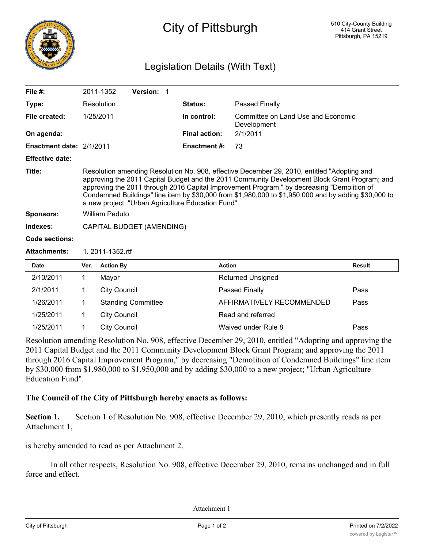

# City of Pittsburgh

# Legislation Details (With Text)

| File $#$ :               |                                                                                                                                                                                                                                                                                                                                                                                                                                                          | 2011-1352           | Version: 1                |                      |                                                   |               |  |
|--------------------------|----------------------------------------------------------------------------------------------------------------------------------------------------------------------------------------------------------------------------------------------------------------------------------------------------------------------------------------------------------------------------------------------------------------------------------------------------------|---------------------|---------------------------|----------------------|---------------------------------------------------|---------------|--|
| Type:                    |                                                                                                                                                                                                                                                                                                                                                                                                                                                          | Resolution          |                           | Status:              | <b>Passed Finally</b>                             |               |  |
| File created:            |                                                                                                                                                                                                                                                                                                                                                                                                                                                          | 1/25/2011           |                           | In control:          | Committee on Land Use and Economic<br>Development |               |  |
| On agenda:               |                                                                                                                                                                                                                                                                                                                                                                                                                                                          |                     |                           | <b>Final action:</b> | 2/1/2011                                          |               |  |
| Enactment date: 2/1/2011 |                                                                                                                                                                                                                                                                                                                                                                                                                                                          |                     |                           | Enactment #:         | 73                                                |               |  |
| <b>Effective date:</b>   |                                                                                                                                                                                                                                                                                                                                                                                                                                                          |                     |                           |                      |                                                   |               |  |
| Title:                   | Resolution amending Resolution No. 908, effective December 29, 2010, entitled "Adopting and<br>approving the 2011 Capital Budget and the 2011 Community Development Block Grant Program; and<br>approving the 2011 through 2016 Capital Improvement Program," by decreasing "Demolition of<br>Condemned Buildings" line item by \$30,000 from \$1,980,000 to \$1,950,000 and by adding \$30,000 to<br>a new project; "Urban Agriculture Education Fund". |                     |                           |                      |                                                   |               |  |
| <b>Sponsors:</b>         | <b>William Peduto</b>                                                                                                                                                                                                                                                                                                                                                                                                                                    |                     |                           |                      |                                                   |               |  |
| Indexes:                 | CAPITAL BUDGET (AMENDING)                                                                                                                                                                                                                                                                                                                                                                                                                                |                     |                           |                      |                                                   |               |  |
| Code sections:           |                                                                                                                                                                                                                                                                                                                                                                                                                                                          |                     |                           |                      |                                                   |               |  |
| <b>Attachments:</b>      | 1. 2011-1352.rtf                                                                                                                                                                                                                                                                                                                                                                                                                                         |                     |                           |                      |                                                   |               |  |
| <b>Date</b>              | Ver.                                                                                                                                                                                                                                                                                                                                                                                                                                                     | <b>Action By</b>    |                           |                      | <b>Action</b>                                     | <b>Result</b> |  |
| 2/10/2011                | 1                                                                                                                                                                                                                                                                                                                                                                                                                                                        | Mayor               |                           |                      | <b>Returned Unsigned</b>                          |               |  |
| 2/1/2011                 | 1                                                                                                                                                                                                                                                                                                                                                                                                                                                        | <b>City Council</b> |                           |                      | Passed Finally                                    | Pass          |  |
| 1/26/2011                | 1                                                                                                                                                                                                                                                                                                                                                                                                                                                        |                     | <b>Standing Committee</b> |                      | AFFIRMATIVELY RECOMMENDED                         | Pass          |  |
| 1/25/2011                | 1                                                                                                                                                                                                                                                                                                                                                                                                                                                        | <b>City Council</b> |                           |                      | Read and referred                                 |               |  |

1/25/2011 1 City Council Waived under Rule 8 Pass

Resolution amending Resolution No. 908, effective December 29, 2010, entitled "Adopting and approving the 2011 Capital Budget and the 2011 Community Development Block Grant Program; and approving the 2011 through 2016 Capital Improvement Program," by decreasing "Demolition of Condemned Buildings" line item by \$30,000 from \$1,980,000 to \$1,950,000 and by adding \$30,000 to a new project; "Urban Agriculture Education Fund".

### **The Council of the City of Pittsburgh hereby enacts as follows:**

**Section 1.** Section 1 of Resolution No. 908, effective December 29, 2010, which presently reads as per Attachment 1,

is hereby amended to read as per Attachment 2.

In all other respects, Resolution No. 908, effective December 29, 2010, remains unchanged and in full force and effect.